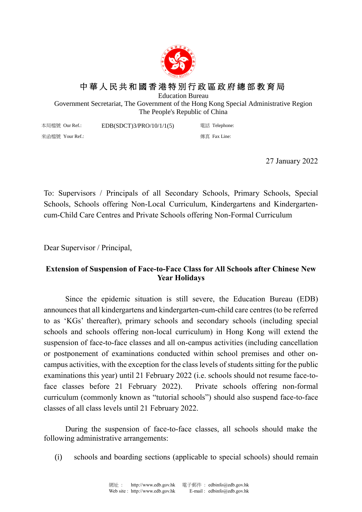

## 中 華 人 民 共 和 國 香 港 特 別 行 政 區 政 府 總 部 教 育 局

Education Bureau

Government Secretariat, The Government of the Hong Kong Special Administrative Region The People's Republic of China

本局檔號 Our Ref.: 來函檔號 Your Ref.: EDB(SDCT)3/PRO/10/1/1(5) 電話 Telephone: 傳真 Fax Line:

27 January 2022

To: Supervisors / Principals of all Secondary Schools, Primary Schools, Special Schools, Schools offering Non-Local Curriculum, Kindergartens and Kindergartencum-Child Care Centres and Private Schools offering Non-Formal Curriculum

Dear Supervisor / Principal,

## **Extension of Suspension of Face-to-Face Class for All Schools after Chinese New Year Holidays**

Since the epidemic situation is still severe, the Education Bureau (EDB) announces that all kindergartens and kindergarten-cum-child care centres (to be referred to as 'KGs' thereafter), primary schools and secondary schools (including special schools and schools offering non-local curriculum) in Hong Kong will extend the suspension of face-to-face classes and all on-campus activities (including cancellation or postponement of examinations conducted within school premises and other oncampus activities, with the exception for the class levels of students sitting for the public examinations this year) until 21 February 2022 (i.e. schools should not resume face-toface classes before 21 February 2022). Private schools offering non-formal curriculum (commonly known as "tutorial schools") should also suspend face-to-face classes of all class levels until 21 February 2022.

During the suspension of face-to-face classes, all schools should make the following administrative arrangements:

(i) schools and boarding sections (applicable to special schools) should remain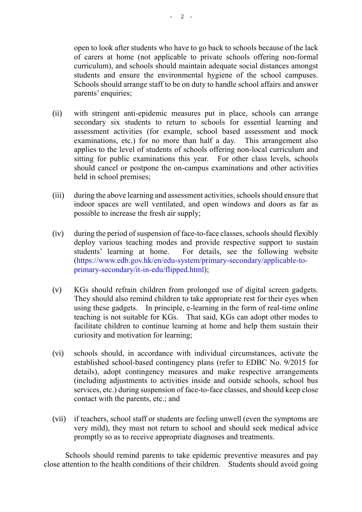open to look after students who have to go back to schools because of the lack of carers at home (not applicable to private schools offering non-formal curriculum), and schools should maintain adequate social distances amongst students and ensure the environmental hygiene of the school campuses. Schools should arrange staff to be on duty to handle school affairs and answer parents' enquiries;

- (ii) with stringent anti-epidemic measures put in place, schools can arrange secondary six students to return to schools for essential learning and assessment activities (for example, school based assessment and mock examinations, etc.) for no more than half a day. This arrangement also applies to the level of students of schools offering non-local curriculum and sitting for public examinations this year. For other class levels, schools should cancel or postpone the on-campus examinations and other activities held in school premises;
- (iii) during the above learning and assessment activities, schools should ensure that indoor spaces are well ventilated, and open windows and doors as far as possible to increase the fresh air supply;
- (iv) during the period of suspension of face-to-face classes, schools should flexibly deploy various teaching modes and provide respective support to sustain students' learning at home. For details, see the following website [\(https://www.edb.gov.hk/en/edu-system/primary-secondary/applicable-to](https://www.edb.gov.hk/en/edu-system/primary-secondary/applicable-to-primary-secondary/it-in-edu/flipped.html)[primary-secondary/it-in-edu/flipped.html\)](https://www.edb.gov.hk/en/edu-system/primary-secondary/applicable-to-primary-secondary/it-in-edu/flipped.html);
- (v) KGs should refrain children from prolonged use of digital screen gadgets. They should also remind children to take appropriate rest for their eyes when using these gadgets. In principle, e-learning in the form of real-time online teaching is not suitable for KGs. That said, KGs can adopt other modes to facilitate children to continue learning at home and help them sustain their curiosity and motivation for learning;
- (vi) schools should, in accordance with individual circumstances, activate the established school-based contingency plans (refer to EDBC No. 9/2015 for details), adopt contingency measures and make respective arrangements (including adjustments to activities inside and outside schools, school bus services, etc.) during suspension of face-to-face classes, and should keep close contact with the parents, etc.; and
- (vii) if teachers, school staff or students are feeling unwell (even the symptoms are very mild), they must not return to school and should seek medical advice promptly so as to receive appropriate diagnoses and treatments.

Schools should remind parents to take epidemic preventive measures and pay close attention to the health conditions of their children. Students should avoid going